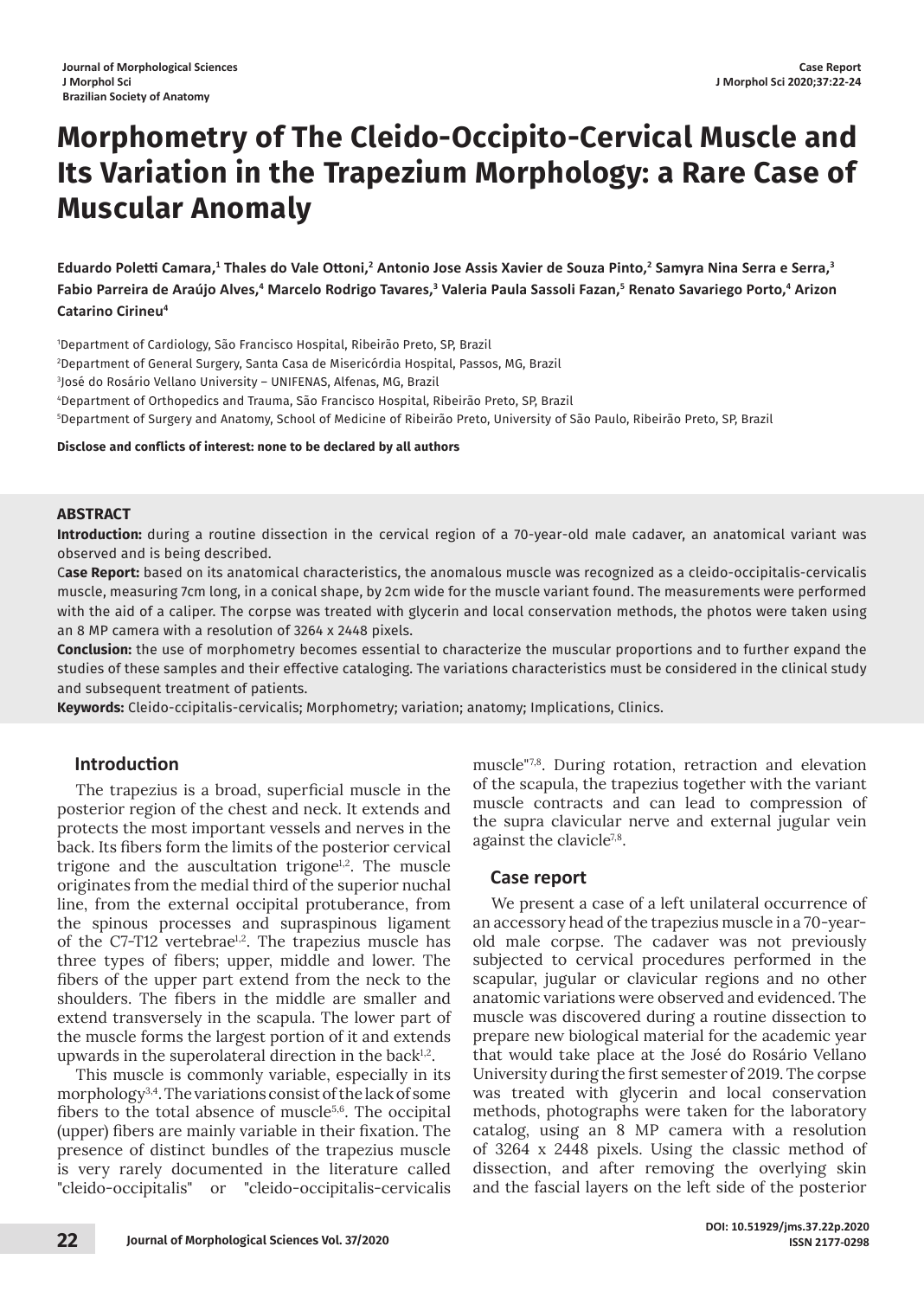# **Morphometry of The Cleido-Occipito-Cervical Muscle and Its Variation in the Trapezium Morphology: a Rare Case of Muscular Anomaly**

**Eduardo Poletti Camara,<sup>1</sup> Thales do Vale Ottoni,<sup>2</sup> Antonio Jose Assis Xavier de Souza Pinto,<sup>2</sup> Samyra Nina Serra e Serra,<sup>3</sup> Fabio Parreira de Araújo Alves,<sup>4</sup> Marcelo Rodrigo Tavares,<sup>3</sup> Valeria Paula Sassoli Fazan,<sup>5</sup> Renato Savariego Porto,<sup>4</sup> Arizon Catarino Cirineu4**

 Department of Cardiology, São Francisco Hospital, Ribeirão Preto, SP, Brazil Department of General Surgery, Santa Casa de Misericórdia Hospital, Passos, MG, Brazil José do Rosário Vellano University – UNIFENAS, Alfenas, MG, Brazil Department of Orthopedics and Trauma, São Francisco Hospital, Ribeirão Preto, SP, Brazil Department of Surgery and Anatomy, School of Medicine of Ribeirão Preto, University of São Paulo, Ribeirão Preto, SP, Brazil

#### **Disclose and conflicts of interest: none to be declared by all authors**

### **ABSTRACT**

**Introduction:** during a routine dissection in the cervical region of a 70-year-old male cadaver, an anatomical variant was observed and is being described.

C**ase Report:** based on its anatomical characteristics, the anomalous muscle was recognized as a cleido-occipitalis-cervicalis muscle, measuring 7cm long, in a conical shape, by 2cm wide for the muscle variant found. The measurements were performed with the aid of a caliper. The corpse was treated with glycerin and local conservation methods, the photos were taken using an 8 MP camera with a resolution of 3264 x 2448 pixels.

**Conclusion:** the use of morphometry becomes essential to characterize the muscular proportions and to further expand the studies of these samples and their effective cataloging. The variations characteristics must be considered in the clinical study and subsequent treatment of patients.

**Keywords:** Cleido-ccipitalis-cervicalis; Morphometry; variation; anatomy; Implications, Clinics.

### **Introduction**

The trapezius is a broad, superficial muscle in the posterior region of the chest and neck. It extends and protects the most important vessels and nerves in the back. Its fibers form the limits of the posterior cervical trigone and the auscultation trigone $1,2$ . The muscle originates from the medial third of the superior nuchal line, from the external occipital protuberance, from the spinous processes and supraspinous ligament of the C7-T12 vertebrae<sup>1,2</sup>. The trapezius muscle has three types of fibers; upper, middle and lower. The fibers of the upper part extend from the neck to the shoulders. The fibers in the middle are smaller and extend transversely in the scapula. The lower part of the muscle forms the largest portion of it and extends upwards in the superolateral direction in the back $1,2$ .

This muscle is commonly variable, especially in its morphology3,4. The variations consist of the lack of some fibers to the total absence of muscle $5,6$ . The occipital (upper) fibers are mainly variable in their fixation. The presence of distinct bundles of the trapezius muscle is very rarely documented in the literature called "cleido-occipitalis" or "cleido-occipitalis-cervicalis muscle"7,8. During rotation, retraction and elevation of the scapula, the trapezius together with the variant muscle contracts and can lead to compression of the supra clavicular nerve and external jugular vein against the clavicle<sup>7,8</sup>.

### **Case report**

We present a case of a left unilateral occurrence of an accessory head of the trapezius muscle in a 70-yearold male corpse. The cadaver was not previously subjected to cervical procedures performed in the scapular, jugular or clavicular regions and no other anatomic variations were observed and evidenced. The muscle was discovered during a routine dissection to prepare new biological material for the academic year that would take place at the José do Rosário Vellano University during the first semester of 2019. The corpse was treated with glycerin and local conservation methods, photographs were taken for the laboratory catalog, using an 8 MP camera with a resolution of 3264 x 2448 pixels. Using the classic method of dissection, and after removing the overlying skin and the fascial layers on the left side of the posterior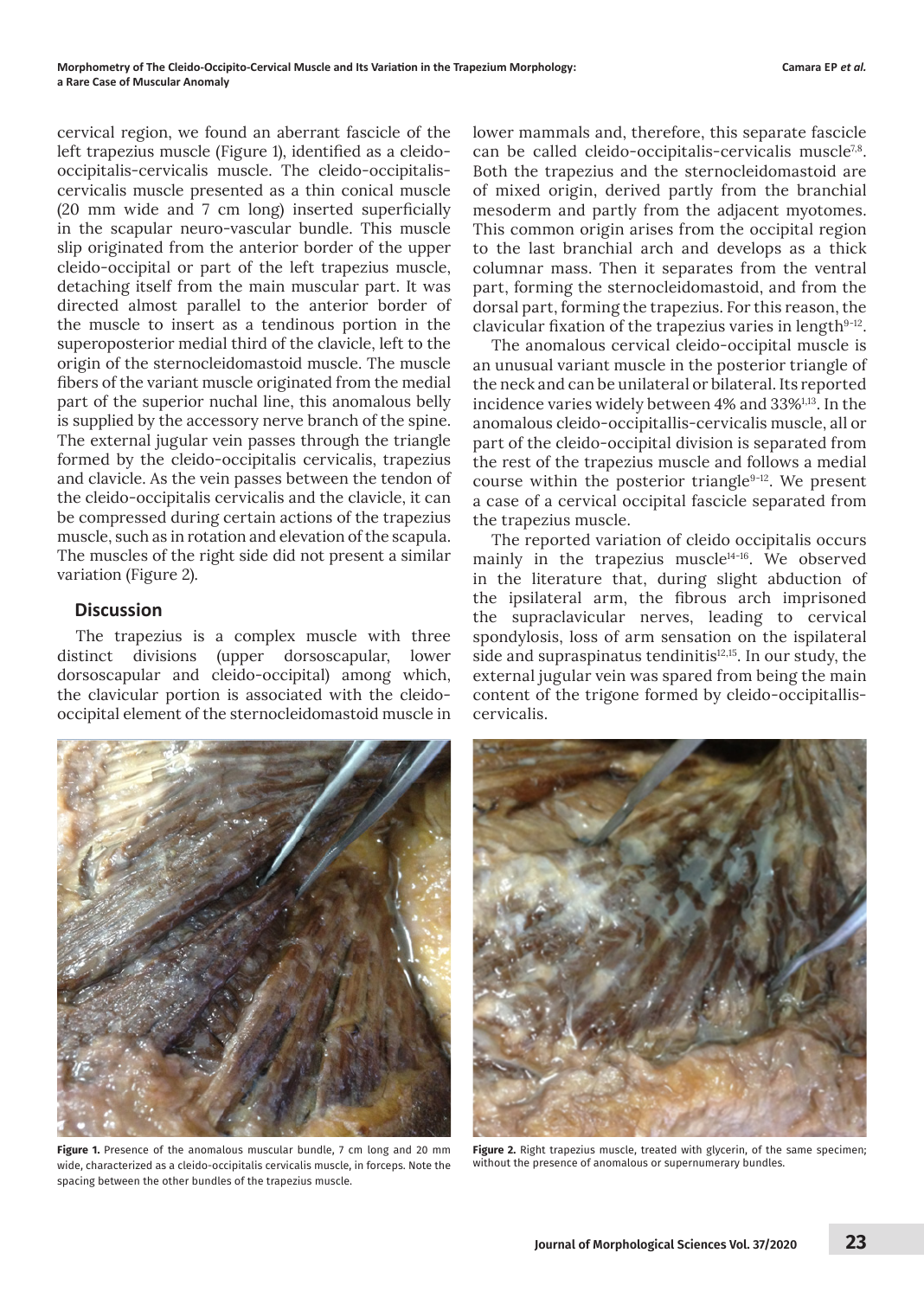cervical region, we found an aberrant fascicle of the left trapezius muscle (Figure 1), identified as a cleidooccipitalis-cervicalis muscle. The cleido-occipitaliscervicalis muscle presented as a thin conical muscle (20 mm wide and 7 cm long) inserted superficially in the scapular neuro-vascular bundle. This muscle slip originated from the anterior border of the upper cleido-occipital or part of the left trapezius muscle, detaching itself from the main muscular part. It was directed almost parallel to the anterior border of the muscle to insert as a tendinous portion in the superoposterior medial third of the clavicle, left to the origin of the sternocleidomastoid muscle. The muscle fibers of the variant muscle originated from the medial part of the superior nuchal line, this anomalous belly is supplied by the accessory nerve branch of the spine. The external jugular vein passes through the triangle formed by the cleido-occipitalis cervicalis, trapezius and clavicle. As the vein passes between the tendon of the cleido-occipitalis cervicalis and the clavicle, it can be compressed during certain actions of the trapezius muscle, such as in rotation and elevation of the scapula. The muscles of the right side did not present a similar variation (Figure 2).

## **Discussion**

The trapezius is a complex muscle with three distinct divisions (upper dorsoscapular, lower dorsoscapular and cleido-occipital) among which, the clavicular portion is associated with the cleidooccipital element of the sternocleidomastoid muscle in lower mammals and, therefore, this separate fascicle can be called cleido-occipitalis-cervicalis muscle<sup>7,8</sup>. Both the trapezius and the sternocleidomastoid are of mixed origin, derived partly from the branchial mesoderm and partly from the adjacent myotomes. This common origin arises from the occipital region to the last branchial arch and develops as a thick columnar mass. Then it separates from the ventral part, forming the sternocleidomastoid, and from the dorsal part, forming the trapezius. For this reason, the clavicular fixation of the trapezius varies in length<sup>9-12</sup>.

The anomalous cervical cleido-occipital muscle is an unusual variant muscle in the posterior triangle of the neck and can be unilateral or bilateral. Its reported incidence varies widely between 4% and 33%<sup>1,13</sup>. In the anomalous cleido-occipitallis-cervicalis muscle, all or part of the cleido-occipital division is separated from the rest of the trapezius muscle and follows a medial course within the posterior triangle<sup>9-12</sup>. We present a case of a cervical occipital fascicle separated from the trapezius muscle.

The reported variation of cleido occipitalis occurs mainly in the trapezius muscle<sup>14-16</sup>. We observed in the literature that, during slight abduction of the ipsilateral arm, the fibrous arch imprisoned the supraclavicular nerves, leading to cervical spondylosis, loss of arm sensation on the ispilateral side and supraspinatus tendinitis<sup>12,15</sup>. In our study, the external jugular vein was spared from being the main content of the trigone formed by cleido-occipitalliscervicalis.



**Figure 1.** Presence of the anomalous muscular bundle, 7 cm long and 20 mm wide, characterized as a cleido-occipitalis cervicalis muscle, in forceps. Note the spacing between the other bundles of the trapezius muscle.



**Figure 2.** Right trapezius muscle, treated with glycerin, of the same specimen; without the presence of anomalous or supernumerary bundles.